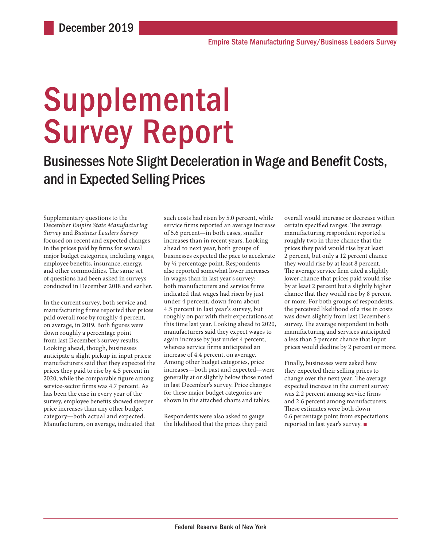# Supplemental Survey Report

Businesses Note Slight Deceleration in Wage and Benefit Costs, and in Expected Selling Prices

Supplementary questions to the December *Empire State Manufacturing Survey* and *Business Leaders Survey* focused on recent and expected changes in the prices paid by firms for several major budget categories, including wages, employee benefits, insurance, energy, and other commodities. The same set of questions had been asked in surveys conducted in December 2018 and earlier.

In the current survey, both service and manufacturing firms reported that prices paid overall rose by roughly 4 percent, on average, in 2019. Both figures were down roughly a percentage point from last December's survey results. Looking ahead, though, businesses anticipate a slight pickup in input prices: manufacturers said that they expected the prices they paid to rise by 4.5 percent in 2020, while the comparable figure among service-sector firms was 4.7 percent. As has been the case in every year of the survey, employee benefits showed steeper price increases than any other budget category—both actual and expected. Manufacturers, on average, indicated that such costs had risen by 5.0 percent, while service firms reported an average increase of 5.6 percent—in both cases, smaller increases than in recent years. Looking ahead to next year, both groups of businesses expected the pace to accelerate by ½ percentage point. Respondents also reported somewhat lower increases in wages than in last year's survey: both manufacturers and service firms indicated that wages had risen by just under 4 percent, down from about 4.5 percent in last year's survey, but roughly on par with their expectations at this time last year. Looking ahead to 2020, manufacturers said they expect wages to again increase by just under 4 percent, whereas service firms anticipated an increase of 4.4 percent, on average. Among other budget categories, price increases—both past and expected—were generally at or slightly below those noted in last December's survey. Price changes for these major budget categories are shown in the attached charts and tables.

Respondents were also asked to gauge the likelihood that the prices they paid overall would increase or decrease within certain specified ranges. The average manufacturing respondent reported a roughly two in three chance that the prices they paid would rise by at least 2 percent, but only a 12 percent chance they would rise by at least 8 percent. The average service firm cited a slightly lower chance that prices paid would rise by at least 2 percent but a slightly higher chance that they would rise by 8 percent or more. For both groups of respondents, the perceived likelihood of a rise in costs was down slightly from last December's survey. The average respondent in both manufacturing and services anticipated a less than 5 percent chance that input prices would decline by 2 percent or more.

Finally, businesses were asked how they expected their selling prices to change over the next year. The average expected increase in the current survey was 2.2 percent among service firms and 2.6 percent among manufacturers. These estimates were both down 0.6 percentage point from expectations reported in last year's survey. ■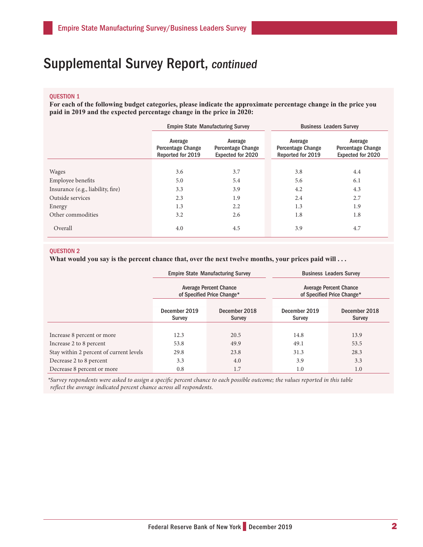# Supplemental Survey Report, continued

#### QUESTION 1

**For each of the following budget categories, please indicate the approximate percentage change in the price you paid in 2019 and the expected percentage change in the price in 2020:**

|                                   | <b>Empire State Manufacturing Survey</b>                 |                                                                 | <b>Business Leaders Survey</b>                           |                                                                 |  |
|-----------------------------------|----------------------------------------------------------|-----------------------------------------------------------------|----------------------------------------------------------|-----------------------------------------------------------------|--|
|                                   | Average<br><b>Percentage Change</b><br>Reported for 2019 | Average<br><b>Percentage Change</b><br><b>Expected for 2020</b> | Average<br><b>Percentage Change</b><br>Reported for 2019 | Average<br><b>Percentage Change</b><br><b>Expected for 2020</b> |  |
| <b>Wages</b>                      | 3.6                                                      | 3.7                                                             | 3.8                                                      | 4.4                                                             |  |
| Employee benefits                 | 5.0                                                      | 5.4                                                             | 5.6                                                      | 6.1                                                             |  |
| Insurance (e.g., liability, fire) | 3.3                                                      | 3.9                                                             | 4.2                                                      | 4.3                                                             |  |
| Outside services                  | 2.3                                                      | 1.9                                                             | 2.4                                                      | 2.7                                                             |  |
| Energy                            | 1.3                                                      | 2.2                                                             | 1.3                                                      | 1.9                                                             |  |
| Other commodities                 | 3.2                                                      | 2.6                                                             | 1.8                                                      | 1.8                                                             |  |
| Overall                           | 4.0                                                      | 4.5                                                             | 3.9                                                      | 4.7                                                             |  |

### QUESTION 2

What would you say is the percent chance that, over the next twelve months, your prices paid will . . .

|                                         |                         | <b>Empire State Manufacturing Survey</b>                    | <b>Business Leaders Survey</b><br><b>Average Percent Chance</b><br>of Specified Price Change* |                                |  |
|-----------------------------------------|-------------------------|-------------------------------------------------------------|-----------------------------------------------------------------------------------------------|--------------------------------|--|
|                                         |                         | <b>Average Percent Chance</b><br>of Specified Price Change* |                                                                                               |                                |  |
|                                         | December 2019<br>Survey | December 2018<br>Survey                                     | December 2019<br><b>Survey</b>                                                                | December 2018<br><b>Survey</b> |  |
|                                         |                         |                                                             |                                                                                               |                                |  |
| Increase 8 percent or more              | 12.3                    | 20.5                                                        | 14.8                                                                                          | 13.9                           |  |
| Increase 2 to 8 percent                 | 53.8                    | 49.9                                                        | 49.1                                                                                          | 53.5                           |  |
| Stay within 2 percent of current levels | 29.8                    | 23.8                                                        | 31.3                                                                                          | 28.3                           |  |
| Decrease 2 to 8 percent                 | 3.3                     | 4.0                                                         | 3.9                                                                                           | 3.3                            |  |
| Decrease 8 percent or more              | 0.8                     | 1.7                                                         | 1.0                                                                                           | 1.0                            |  |

*\*Survey respondents were asked to assign a specific percent chance to each possible outcome; the values reported in this table reflect the average indicated percent chance across all respondents.*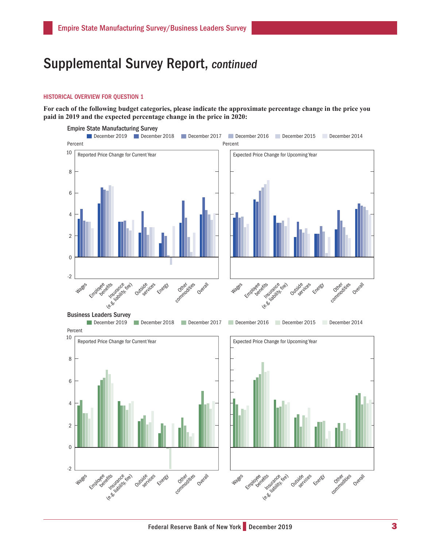## Supplemental Survey Report, continued

#### HISTORICAL OVERVIEW FOR QUESTION 1

**For each of the following budget categories, please indicate the approximate percentage change in the price you paid in 2019 and the expected percentage change in the price in 2020:**